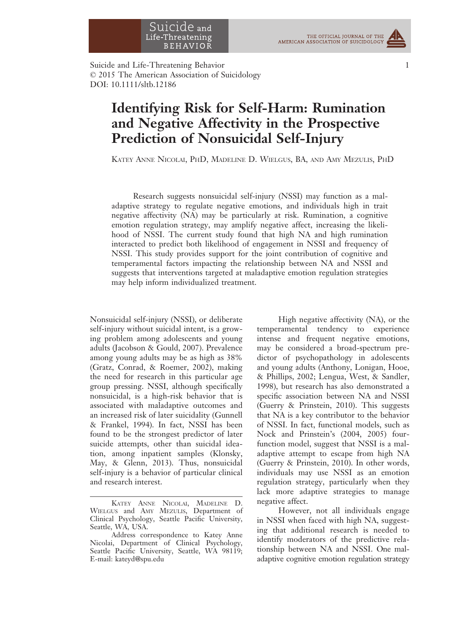Suicide and Life-Threatening Behavior 1 © 2015 The American Association of Suicidology DOI: 10.1111/sltb.12186

# Identifying Risk for Self-Harm: Rumination and Negative Affectivity in the Prospective Prediction of Nonsuicidal Self-Injury

KATEY ANNE NICOLAI, PHD, MADELINE D. WIELGUS, BA, AND AMY MEZULIS, PHD

Research suggests nonsuicidal self-injury (NSSI) may function as a maladaptive strategy to regulate negative emotions, and individuals high in trait negative affectivity (NA) may be particularly at risk. Rumination, a cognitive emotion regulation strategy, may amplify negative affect, increasing the likelihood of NSSI. The current study found that high NA and high rumination interacted to predict both likelihood of engagement in NSSI and frequency of NSSI. This study provides support for the joint contribution of cognitive and temperamental factors impacting the relationship between NA and NSSI and suggests that interventions targeted at maladaptive emotion regulation strategies may help inform individualized treatment.

Nonsuicidal self-injury (NSSI), or deliberate self-injury without suicidal intent, is a growing problem among adolescents and young adults (Jacobson & Gould, 2007). Prevalence among young adults may be as high as 38% (Gratz, Conrad, & Roemer, 2002), making the need for research in this particular age group pressing. NSSI, although specifically nonsuicidal, is a high-risk behavior that is associated with maladaptive outcomes and an increased risk of later suicidality (Gunnell & Frankel, 1994). In fact, NSSI has been found to be the strongest predictor of later suicide attempts, other than suicidal ideation, among inpatient samples (Klonsky, May, & Glenn, 2013). Thus, nonsuicidal self-injury is a behavior of particular clinical and research interest.

High negative affectivity (NA), or the temperamental tendency to experience intense and frequent negative emotions, may be considered a broad-spectrum predictor of psychopathology in adolescents and young adults (Anthony, Lonigan, Hooe, & Phillips, 2002; Lengua, West, & Sandler, 1998), but research has also demonstrated a specific association between NA and NSSI (Guerry & Prinstein, 2010). This suggests that NA is a key contributor to the behavior of NSSI. In fact, functional models, such as Nock and Prinstein's (2004, 2005) fourfunction model, suggest that NSSI is a maladaptive attempt to escape from high NA (Guerry & Prinstein, 2010). In other words, individuals may use NSSI as an emotion regulation strategy, particularly when they lack more adaptive strategies to manage negative affect.

However, not all individuals engage in NSSI when faced with high NA, suggesting that additional research is needed to identify moderators of the predictive relationship between NA and NSSI. One maladaptive cognitive emotion regulation strategy



KATEY ANNE NICOLAI, MADELINE D. WIELGUS and AMY MEZULIS, Department of Clinical Psychology, Seattle Pacific University, Seattle, WA, USA.

Address correspondence to Katey Anne Nicolai, Department of Clinical Psychology, Seattle Pacific University, Seattle, WA 98119; E-mail: kateyd@spu.edu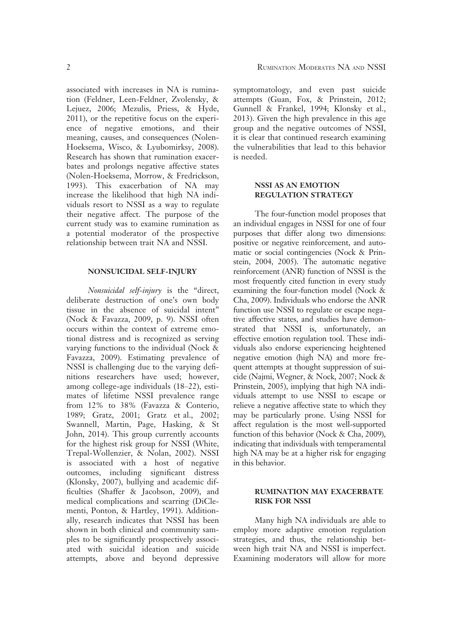associated with increases in NA is rumination (Feldner, Leen-Feldner, Zvolensky, & Lejuez, 2006; Mezulis, Priess, & Hyde, 2011), or the repetitive focus on the experience of negative emotions, and their meaning, causes, and consequences (Nolen-Hoeksema, Wisco, & Lyubomirksy, 2008). Research has shown that rumination exacerbates and prolongs negative affective states (Nolen-Hoeksema, Morrow, & Fredrickson, 1993). This exacerbation of NA may increase the likelihood that high NA individuals resort to NSSI as a way to regulate their negative affect. The purpose of the current study was to examine rumination as a potential moderator of the prospective relationship between trait NA and NSSI.

#### NONSUICIDAL SELF-INJURY

Nonsuicidal self-injury is the "direct, deliberate destruction of one's own body tissue in the absence of suicidal intent" (Nock & Favazza, 2009, p. 9). NSSI often occurs within the context of extreme emotional distress and is recognized as serving varying functions to the individual (Nock & Favazza, 2009). Estimating prevalence of NSSI is challenging due to the varying definitions researchers have used; however, among college-age individuals (18–22), estimates of lifetime NSSI prevalence range from 12% to 38% (Favazza & Conterio, 1989; Gratz, 2001; Gratz et al., 2002; Swannell, Martin, Page, Hasking, & St John, 2014). This group currently accounts for the highest risk group for NSSI (White, Trepal-Wollenzier, & Nolan, 2002). NSSI is associated with a host of negative outcomes, including significant distress (Klonsky, 2007), bullying and academic difficulties (Shaffer & Jacobson, 2009), and medical complications and scarring (DiClementi, Ponton, & Hartley, 1991). Additionally, research indicates that NSSI has been shown in both clinical and community samples to be significantly prospectively associated with suicidal ideation and suicide attempts, above and beyond depressive

symptomatology, and even past suicide attempts (Guan, Fox, & Prinstein, 2012; Gunnell & Frankel, 1994; Klonsky et al., 2013). Given the high prevalence in this age group and the negative outcomes of NSSI, it is clear that continued research examining the vulnerabilities that lead to this behavior is needed.

## NSSI AS AN EMOTION REGULATION STRATEGY

The four-function model proposes that an individual engages in NSSI for one of four purposes that differ along two dimensions: positive or negative reinforcement, and automatic or social contingencies (Nock & Prinstein, 2004, 2005). The automatic negative reinforcement (ANR) function of NSSI is the most frequently cited function in every study examining the four-function model (Nock & Cha, 2009). Individuals who endorse the ANR function use NSSI to regulate or escape negative affective states, and studies have demonstrated that NSSI is, unfortunately, an effective emotion regulation tool. These individuals also endorse experiencing heightened negative emotion (high NA) and more frequent attempts at thought suppression of suicide (Najmi, Wegner, & Nock, 2007; Nock & Prinstein, 2005), implying that high NA individuals attempt to use NSSI to escape or relieve a negative affective state to which they may be particularly prone. Using NSSI for affect regulation is the most well-supported function of this behavior (Nock & Cha, 2009), indicating that individuals with temperamental high NA may be at a higher risk for engaging in this behavior.

## RUMINATION MAY EXACERBATE RISK FOR NSSI

Many high NA individuals are able to employ more adaptive emotion regulation strategies, and thus, the relationship between high trait NA and NSSI is imperfect. Examining moderators will allow for more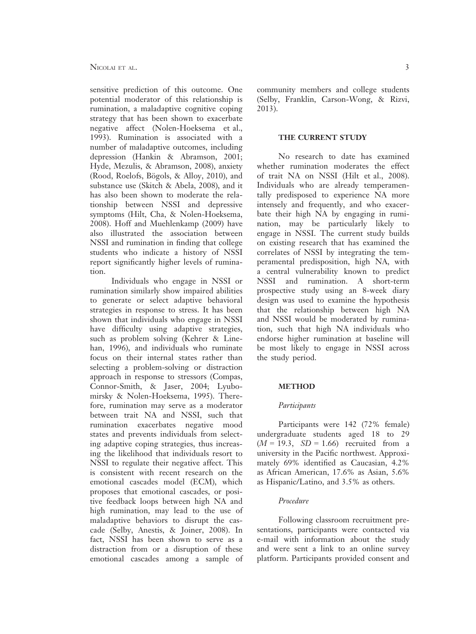sensitive prediction of this outcome. One potential moderator of this relationship is rumination, a maladaptive cognitive coping strategy that has been shown to exacerbate negative affect (Nolen-Hoeksema et al., 1993). Rumination is associated with a number of maladaptive outcomes, including depression (Hankin & Abramson, 2001; Hyde, Mezulis, & Abramson, 2008), anxiety (Rood, Roelofs, Bögols, & Alloy, 2010), and substance use (Skitch & Abela, 2008), and it has also been shown to moderate the relationship between NSSI and depressive symptoms (Hilt, Cha, & Nolen-Hoeksema, 2008). Hoff and Muehlenkamp (2009) have also illustrated the association between NSSI and rumination in finding that college students who indicate a history of NSSI report significantly higher levels of rumination.

Individuals who engage in NSSI or rumination similarly show impaired abilities to generate or select adaptive behavioral strategies in response to stress. It has been shown that individuals who engage in NSSI have difficulty using adaptive strategies, such as problem solving (Kehrer & Linehan, 1996), and individuals who ruminate focus on their internal states rather than selecting a problem-solving or distraction approach in response to stressors (Compas, Connor-Smith, & Jaser, 2004; Lyubomirsky & Nolen-Hoeksema, 1995). Therefore, rumination may serve as a moderator between trait NA and NSSI, such that rumination exacerbates negative mood states and prevents individuals from selecting adaptive coping strategies, thus increasing the likelihood that individuals resort to NSSI to regulate their negative affect. This is consistent with recent research on the emotional cascades model (ECM), which proposes that emotional cascades, or positive feedback loops between high NA and high rumination, may lead to the use of maladaptive behaviors to disrupt the cascade (Selby, Anestis, & Joiner, 2008). In fact, NSSI has been shown to serve as a distraction from or a disruption of these emotional cascades among a sample of community members and college students (Selby, Franklin, Carson-Wong, & Rizvi, 2013).

#### THE CURRENT STUDY

No research to date has examined whether rumination moderates the effect of trait NA on NSSI (Hilt et al., 2008). Individuals who are already temperamentally predisposed to experience NA more intensely and frequently, and who exacerbate their high NA by engaging in rumination, may be particularly likely to engage in NSSI. The current study builds on existing research that has examined the correlates of NSSI by integrating the temperamental predisposition, high NA, with a central vulnerability known to predict NSSI and rumination. A short-term prospective study using an 8-week diary design was used to examine the hypothesis that the relationship between high NA and NSSI would be moderated by rumination, such that high NA individuals who endorse higher rumination at baseline will be most likely to engage in NSSI across the study period.

#### METHOD

#### Participants

Participants were 142 (72% female) undergraduate students aged 18 to 29  $(M = 19.3, SD = 1.66)$  recruited from a university in the Pacific northwest. Approximately 69% identified as Caucasian, 4.2% as African American, 17.6% as Asian, 5.6% as Hispanic/Latino, and 3.5% as others.

## Procedure

Following classroom recruitment presentations, participants were contacted via e-mail with information about the study and were sent a link to an online survey platform. Participants provided consent and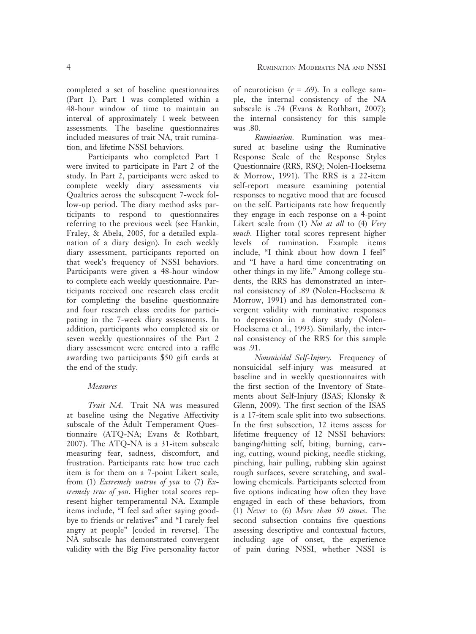completed a set of baseline questionnaires (Part 1). Part 1 was completed within a 48-hour window of time to maintain an interval of approximately 1 week between assessments. The baseline questionnaires included measures of trait NA, trait rumination, and lifetime NSSI behaviors.

Participants who completed Part 1 were invited to participate in Part 2 of the study. In Part 2, participants were asked to complete weekly diary assessments via Qualtrics across the subsequent 7-week follow-up period. The diary method asks participants to respond to questionnaires referring to the previous week (see Hankin, Fraley, & Abela, 2005, for a detailed explanation of a diary design). In each weekly diary assessment, participants reported on that week's frequency of NSSI behaviors. Participants were given a 48-hour window to complete each weekly questionnaire. Participants received one research class credit for completing the baseline questionnaire and four research class credits for participating in the 7-week diary assessments. In addition, participants who completed six or seven weekly questionnaires of the Part 2 diary assessment were entered into a raffle awarding two participants \$50 gift cards at the end of the study.

#### Measures

Trait NA. Trait NA was measured at baseline using the Negative Affectivity subscale of the Adult Temperament Questionnaire (ATQ-NA; Evans & Rothbart, 2007). The ATQ-NA is a 31-item subscale measuring fear, sadness, discomfort, and frustration. Participants rate how true each item is for them on a 7-point Likert scale, from (1) Extremely untrue of you to  $(7)$  Extremely true of you. Higher total scores represent higher temperamental NA. Example items include, "I feel sad after saying goodbye to friends or relatives" and "I rarely feel angry at people" [coded in reverse]. The NA subscale has demonstrated convergent validity with the Big Five personality factor of neuroticism  $(r = .69)$ . In a college sample, the internal consistency of the NA subscale is .74 (Evans & Rothbart, 2007); the internal consistency for this sample was .80.

Rumination. Rumination was measured at baseline using the Ruminative Response Scale of the Response Styles Questionnaire (RRS, RSQ; Nolen-Hoeksema & Morrow, 1991). The RRS is a 22-item self-report measure examining potential responses to negative mood that are focused on the self. Participants rate how frequently they engage in each response on a 4-point Likert scale from (1) Not at all to (4) Very much. Higher total scores represent higher levels of rumination. Example items include, "I think about how down I feel" and "I have a hard time concentrating on other things in my life." Among college students, the RRS has demonstrated an internal consistency of .89 (Nolen-Hoeksema & Morrow, 1991) and has demonstrated convergent validity with ruminative responses to depression in a diary study (Nolen-Hoeksema et al., 1993). Similarly, the internal consistency of the RRS for this sample was .91.

Nonsuicidal Self-Injury. Frequency of nonsuicidal self-injury was measured at baseline and in weekly questionnaires with the first section of the Inventory of Statements about Self-Injury (ISAS; Klonsky & Glenn, 2009). The first section of the ISAS is a 17-item scale split into two subsections. In the first subsection, 12 items assess for lifetime frequency of 12 NSSI behaviors: banging/hitting self, biting, burning, carving, cutting, wound picking, needle sticking, pinching, hair pulling, rubbing skin against rough surfaces, severe scratching, and swallowing chemicals. Participants selected from five options indicating how often they have engaged in each of these behaviors, from (1) Never to (6) More than 50 times. The second subsection contains five questions assessing descriptive and contextual factors, including age of onset, the experience of pain during NSSI, whether NSSI is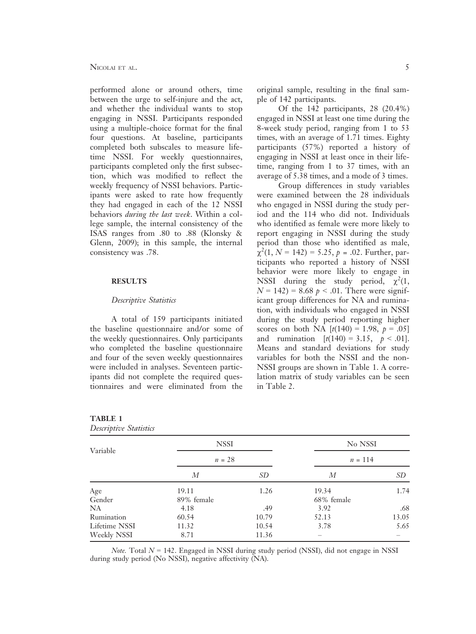performed alone or around others, time between the urge to self-injure and the act, and whether the individual wants to stop engaging in NSSI. Participants responded using a multiple-choice format for the final four questions. At baseline, participants completed both subscales to measure lifetime NSSI. For weekly questionnaires, participants completed only the first subsection, which was modified to reflect the weekly frequency of NSSI behaviors. Participants were asked to rate how frequently they had engaged in each of the 12 NSSI behaviors *during the last week*. Within a college sample, the internal consistency of the ISAS ranges from .80 to .88 (Klonsky & Glenn, 2009); in this sample, the internal consistency was .78.

## **RESULTS**

## Descriptive Statistics

A total of 159 participants initiated the baseline questionnaire and/or some of the weekly questionnaires. Only participants who completed the baseline questionnaire and four of the seven weekly questionnaires were included in analyses. Seventeen participants did not complete the required questionnaires and were eliminated from the

original sample, resulting in the final sample of 142 participants.

Of the 142 participants, 28 (20.4%) engaged in NSSI at least one time during the 8-week study period, ranging from 1 to 53 times, with an average of 1.71 times. Eighty participants (57%) reported a history of engaging in NSSI at least once in their lifetime, ranging from 1 to 37 times, with an average of 5.38 times, and a mode of 3 times.

Group differences in study variables were examined between the 28 individuals who engaged in NSSI during the study period and the 114 who did not. Individuals who identified as female were more likely to report engaging in NSSI during the study period than those who identified as male,  $\chi^2(1, N = 142) = 5.25, p = .02$ . Further, participants who reported a history of NSSI behavior were more likely to engage in NSSI during the study period,  $\chi^2(1)$ ,  $N = 142$ ) = 8.68  $p < .01$ . There were significant group differences for NA and rumination, with individuals who engaged in NSSI during the study period reporting higher scores on both NA  $[t(140) = 1.98, p = .05]$ and rumination  $[t(140) = 3.15, p < .01]$ . Means and standard deviations for study variables for both the NSSI and the non-NSSI groups are shown in Table 1. A correlation matrix of study variables can be seen in Table 2.

| Variable      | <b>NSSI</b><br>$n = 28$ |       | No NSSI<br>$n = 114$ |       |      |
|---------------|-------------------------|-------|----------------------|-------|------|
|               |                         |       |                      |       | М    |
|               | Age                     | 19.11 | 1.26                 | 19.34 | 1.74 |
| Gender        | 89% female              |       | 68% female           |       |      |
| NA            | 4.18                    | .49   | 3.92                 | .68   |      |
| Rumination    | 60.54                   | 10.79 | 52.13                | 13.05 |      |
| Lifetime NSSI | 11.32                   | 10.54 | 3.78                 | 5.65  |      |
| Weekly NSSI   | 8.71                    | 11.36 |                      |       |      |

| <b>TABLE 1</b>         |  |
|------------------------|--|
| Descriptive Statistics |  |

*Note.* Total  $N = 142$ . Engaged in NSSI during study period (NSSI), did not engage in NSSI during study period (No NSSI), negative affectivity (NA).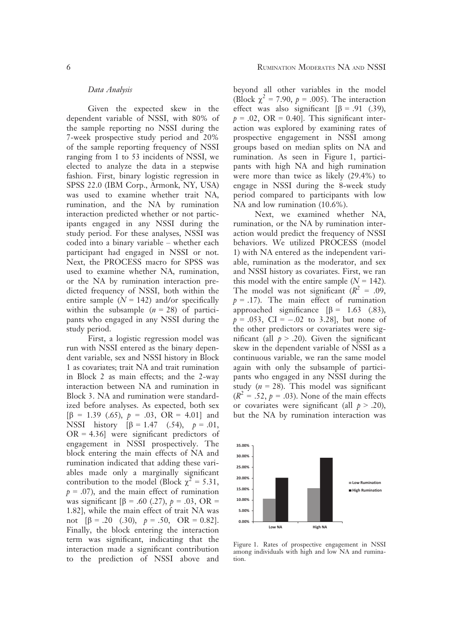#### Data Analysis

Given the expected skew in the dependent variable of NSSI, with 80% of the sample reporting no NSSI during the 7-week prospective study period and 20% of the sample reporting frequency of NSSI ranging from 1 to 53 incidents of NSSI, we elected to analyze the data in a stepwise fashion. First, binary logistic regression in SPSS 22.0 (IBM Corp., Armonk, NY, USA) was used to examine whether trait NA, rumination, and the NA by rumination interaction predicted whether or not participants engaged in any NSSI during the study period. For these analyses, NSSI was coded into a binary variable – whether each participant had engaged in NSSI or not. Next, the PROCESS macro for SPSS was used to examine whether NA, rumination, or the NA by rumination interaction predicted frequency of NSSI, both within the entire sample  $(N = 142)$  and/or specifically within the subsample  $(n = 28)$  of participants who engaged in any NSSI during the study period.

First, a logistic regression model was run with NSSI entered as the binary dependent variable, sex and NSSI history in Block 1 as covariates; trait NA and trait rumination in Block 2 as main effects; and the 2-way interaction between NA and rumination in Block 3. NA and rumination were standardized before analyses. As expected, both sex  $[\beta = 1.39 \,(.65), p = .03, \text{ OR} = 4.01]$  and NSSI history  $[\beta = 1.47, (0.54), p = .01,$  $OR = 4.36$ ] were significant predictors of engagement in NSSI prospectively. The block entering the main effects of NA and rumination indicated that adding these variables made only a marginally significant contribution to the model (Block  $\chi^2 = 5.31$ ,  $p = .07$ ), and the main effect of rumination was significant  $[\beta = .60 \,(.27), p = .03, \text{ OR } =$ 1.82], while the main effect of trait NA was not  $[\beta = .20 \quad (.30), \quad p = .50, \quad \text{OR} = 0.82].$ Finally, the block entering the interaction term was significant, indicating that the interaction made a significant contribution to the prediction of NSSI above and beyond all other variables in the model (Block  $\chi^2 = 7.90$ ,  $p = .005$ ). The interaction effect was also significant  $\beta$  = .91 (.39),  $p = .02$ , OR = 0.40]. This significant interaction was explored by examining rates of prospective engagement in NSSI among groups based on median splits on NA and rumination. As seen in Figure 1, participants with high NA and high rumination were more than twice as likely (29.4%) to engage in NSSI during the 8-week study period compared to participants with low NA and low rumination (10.6%).

Next, we examined whether NA, rumination, or the NA by rumination interaction would predict the frequency of NSSI behaviors. We utilized PROCESS (model 1) with NA entered as the independent variable, rumination as the moderator, and sex and NSSI history as covariates. First, we ran this model with the entire sample  $(N = 142)$ . The model was not significant ( $R^2 = .09$ ,  $p = .17$ ). The main effect of rumination approached significance  $[\beta = 1.63 \quad (0.83)]$ ,  $p = .053$ , CI =  $-.02$  to 3.28], but none of the other predictors or covariates were significant (all  $p > .20$ ). Given the significant skew in the dependent variable of NSSI as a continuous variable, we ran the same model again with only the subsample of participants who engaged in any NSSI during the study ( $n = 28$ ). This model was significant  $(R<sup>2</sup> = .52, p = .03)$ . None of the main effects or covariates were significant (all  $p > .20$ ), but the NA by rumination interaction was



Figure 1. Rates of prospective engagement in NSSI among individuals with high and low NA and rumination.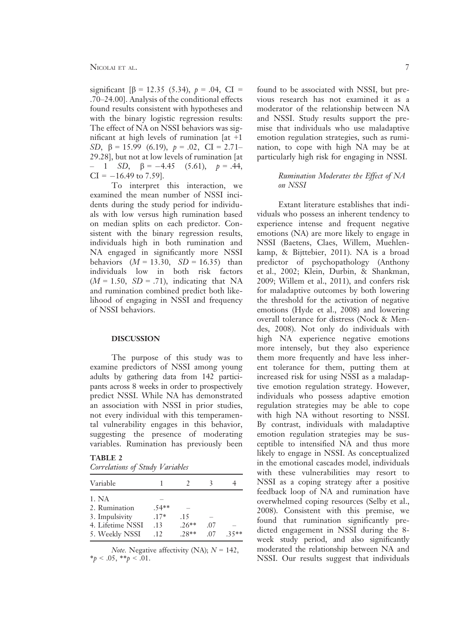significant  $\beta = 12.35$  (5.34),  $p = .04$ , CI = .70–24.00]. Analysis of the conditional effects found results consistent with hypotheses and with the binary logistic regression results: The effect of NA on NSSI behaviors was significant at high levels of rumination  $[at +1]$ SD,  $\beta = 15.99$  (6.19),  $p = .02$ , CI = 2.71– 29.28], but not at low levels of rumination [at  $- 1$  SD,  $\beta = -4.45$  (5.61),  $p = .44$ ,  $CI = -16.49$  to 7.59].

To interpret this interaction, we examined the mean number of NSSI incidents during the study period for individuals with low versus high rumination based on median splits on each predictor. Consistent with the binary regression results, individuals high in both rumination and NA engaged in significantly more NSSI behaviors  $(M = 13.30, SD = 16.35)$  than individuals low in both risk factors  $(M = 1.50, SD = .71)$ , indicating that NA and rumination combined predict both likelihood of engaging in NSSI and frequency of NSSI behaviors.

## DISCUSSION

The purpose of this study was to examine predictors of NSSI among young adults by gathering data from 142 participants across 8 weeks in order to prospectively predict NSSI. While NA has demonstrated an association with NSSI in prior studies, not every individual with this temperamental vulnerability engages in this behavior, suggesting the presence of moderating variables. Rumination has previously been

## TABLE 2

| $.54**$ |         |     |         |
|---------|---------|-----|---------|
| $.17*$  | .15     |     |         |
| .13     | $.26**$ | .07 |         |
| .12     | 28**    | -07 | $.35**$ |
|         |         |     |         |

*Note.* Negative affectivity (NA);  $N = 142$ ,  $*_{p} < .05, **_{p} < .01.$ 

found to be associated with NSSI, but previous research has not examined it as a moderator of the relationship between NA and NSSI. Study results support the premise that individuals who use maladaptive emotion regulation strategies, such as rumination, to cope with high NA may be at particularly high risk for engaging in NSSI.

# Rumination Moderates the Effect of NA on NSSI

Extant literature establishes that individuals who possess an inherent tendency to experience intense and frequent negative emotions (NA) are more likely to engage in NSSI (Baetens, Claes, Willem, Muehlenkamp, & Bijttebier, 2011). NA is a broad predictor of psychopathology (Anthony et al., 2002; Klein, Durbin, & Shankman, 2009; Willem et al., 2011), and confers risk for maladaptive outcomes by both lowering the threshold for the activation of negative emotions (Hyde et al., 2008) and lowering overall tolerance for distress (Nock & Mendes, 2008). Not only do individuals with high NA experience negative emotions more intensely, but they also experience them more frequently and have less inherent tolerance for them, putting them at increased risk for using NSSI as a maladaptive emotion regulation strategy. However, individuals who possess adaptive emotion regulation strategies may be able to cope with high NA without resorting to NSSI. By contrast, individuals with maladaptive emotion regulation strategies may be susceptible to intensified NA and thus more likely to engage in NSSI. As conceptualized in the emotional cascades model, individuals with these vulnerabilities may resort to NSSI as a coping strategy after a positive feedback loop of NA and rumination have overwhelmed coping resources (Selby et al., 2008). Consistent with this premise, we found that rumination significantly predicted engagement in NSSI during the 8 week study period, and also significantly moderated the relationship between NA and NSSI. Our results suggest that individuals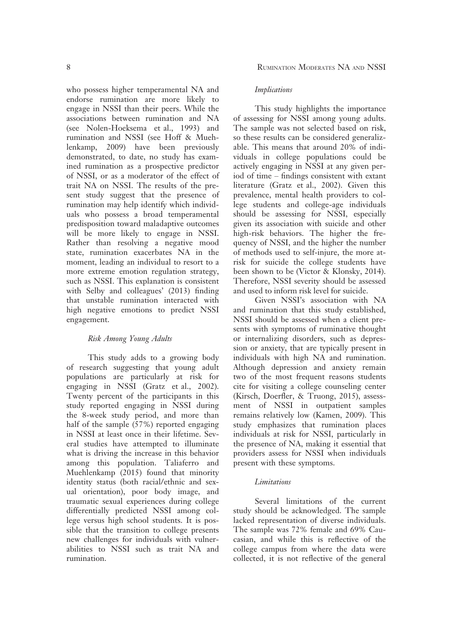who possess higher temperamental NA and endorse rumination are more likely to engage in NSSI than their peers. While the associations between rumination and NA (see Nolen-Hoeksema et al., 1993) and rumination and NSSI (see Hoff & Muehlenkamp, 2009) have been previously demonstrated, to date, no study has examined rumination as a prospective predictor of NSSI, or as a moderator of the effect of trait NA on NSSI. The results of the present study suggest that the presence of rumination may help identify which individuals who possess a broad temperamental predisposition toward maladaptive outcomes will be more likely to engage in NSSI. Rather than resolving a negative mood state, rumination exacerbates NA in the moment, leading an individual to resort to a more extreme emotion regulation strategy, such as NSSI. This explanation is consistent with Selby and colleagues' (2013) finding that unstable rumination interacted with high negative emotions to predict NSSI engagement.

## Risk Among Young Adults

This study adds to a growing body of research suggesting that young adult populations are particularly at risk for engaging in NSSI (Gratz et al., 2002). Twenty percent of the participants in this study reported engaging in NSSI during the 8-week study period, and more than half of the sample (57%) reported engaging in NSSI at least once in their lifetime. Several studies have attempted to illuminate what is driving the increase in this behavior among this population. Taliaferro and Muehlenkamp (2015) found that minority identity status (both racial/ethnic and sexual orientation), poor body image, and traumatic sexual experiences during college differentially predicted NSSI among college versus high school students. It is possible that the transition to college presents new challenges for individuals with vulnerabilities to NSSI such as trait NA and rumination.

## Implications

This study highlights the importance of assessing for NSSI among young adults. The sample was not selected based on risk, so these results can be considered generalizable. This means that around 20% of individuals in college populations could be actively engaging in NSSI at any given period of time – findings consistent with extant literature (Gratz et al., 2002). Given this prevalence, mental health providers to college students and college-age individuals should be assessing for NSSI, especially given its association with suicide and other high-risk behaviors. The higher the frequency of NSSI, and the higher the number of methods used to self-injure, the more atrisk for suicide the college students have been shown to be (Victor & Klonsky, 2014). Therefore, NSSI severity should be assessed and used to inform risk level for suicide.

Given NSSI's association with NA and rumination that this study established, NSSI should be assessed when a client presents with symptoms of ruminative thought or internalizing disorders, such as depression or anxiety, that are typically present in individuals with high NA and rumination. Although depression and anxiety remain two of the most frequent reasons students cite for visiting a college counseling center (Kirsch, Doerfler, & Truong, 2015), assessment of NSSI in outpatient samples remains relatively low (Kamen, 2009). This study emphasizes that rumination places individuals at risk for NSSI, particularly in the presence of NA, making it essential that providers assess for NSSI when individuals present with these symptoms.

#### Limitations

Several limitations of the current study should be acknowledged. The sample lacked representation of diverse individuals. The sample was 72% female and 69% Caucasian, and while this is reflective of the college campus from where the data were collected, it is not reflective of the general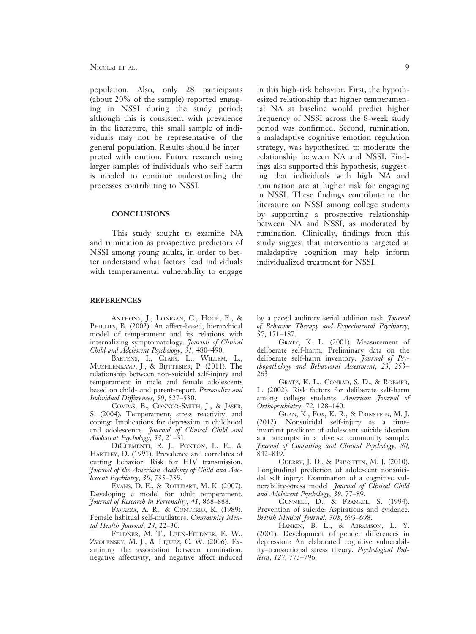population. Also, only 28 participants (about 20% of the sample) reported engaging in NSSI during the study period; although this is consistent with prevalence in the literature, this small sample of individuals may not be representative of the general population. Results should be interpreted with caution. Future research using larger samples of individuals who self-harm is needed to continue understanding the processes contributing to NSSI.

#### **CONCLUSIONS**

This study sought to examine NA and rumination as prospective predictors of NSSI among young adults, in order to better understand what factors lead individuals with temperamental vulnerability to engage

#### **REFERENCES**

ANTHONY, J., LONIGAN, C., HOOE, E., & PHILLIPS, B. (2002). An affect-based, hierarchical model of temperament and its relations with internalizing symptomatology. Journal of Clinical Child and Adolescent Psychology, 31, 480–490.

BAETENS, I., CLAES, L., WILLEM, L., MUEHLENKAMP, J., & BIJTTEBIER, P. (2011). The relationship between non-suicidal self-injury and temperament in male and female adolescents based on child- and parent-report. Personality and Individual Differences, 50, 527–530.

COMPAS, B., CONNOR-SMITH, J., & JASER, S. (2004). Temperament, stress reactivity, and coping: Implications for depression in childhood and adolescence. Journal of Clinical Child and Adolescent Psychology, 33, 21–31.

DICLEMENTI, R. J., PONTON, L. E., & HARTLEY, D. (1991). Prevalence and correlates of cutting behavior: Risk for HIV transmission. Journal of the American Academy of Child and Adolescent Psychiatry, 30, 735–739.

EVANS, D. E., & ROTHBART, M. K. (2007). Developing a model for adult temperament. Journal of Research in Personality, 41, 868–888.

FAVAZZA, A. R., & CONTERIO, K. (1989). Female habitual self-mutilators. Community Mental Health Journal, 24, 22–30.

FELDNER, M. T., LEEN-FELDNER, E. W., ZVOLENSKY, M. J., & LEJUEZ, C. W. (2006). Examining the association between rumination, negative affectivity, and negative affect induced

in this high-risk behavior. First, the hypothesized relationship that higher temperamental NA at baseline would predict higher frequency of NSSI across the 8-week study period was confirmed. Second, rumination, a maladaptive cognitive emotion regulation strategy, was hypothesized to moderate the relationship between NA and NSSI. Findings also supported this hypothesis, suggesting that individuals with high NA and rumination are at higher risk for engaging in NSSI. These findings contribute to the literature on NSSI among college students by supporting a prospective relationship between NA and NSSI, as moderated by rumination. Clinically, findings from this study suggest that interventions targeted at maladaptive cognition may help inform individualized treatment for NSSI.

by a paced auditory serial addition task. *Journal* of Behavior Therapy and Experimental Psychiatry, 37, 171–187.

GRATZ, K. L. (2001). Measurement of deliberate self-harm: Preliminary data on the deliberate self-harm inventory. Journal of Psychopathology and Behavioral Assessment, 23, 253– 263.

GRATZ, K. L., CONRAD, S. D., & ROEMER, L. (2002). Risk factors for deliberate self-harm among college students. *American Journal of* Orthopsychiatry, 72, 128–140.

GUAN, K., FOX, K. R., & PRINSTEIN, M. J. (2012). Nonsuicidal self-injury as a timeinvariant predictor of adolescent suicide ideation and attempts in a diverse community sample. Journal of Consulting and Clinical Psychology, 80, 842–849.

GUERRY, J. D., & PRINSTEIN, M. J. (2010). Longitudinal prediction of adolescent nonsuicidal self injury: Examination of a cognitive vulnerability-stress model. Journal of Clinical Child and Adolescent Psychology, 39, 77–89.

GUNNELL, D., & FRANKEL, S. (1994). Prevention of suicide: Aspirations and evidence. British Medical Journal, 308, 693–698.

HANKIN, B. L., & ABRAMSON, L. Y. (2001). Development of gender differences in depression: An elaborated cognitive vulnerability–transactional stress theory. Psychological Bulletin, 127, 773–796.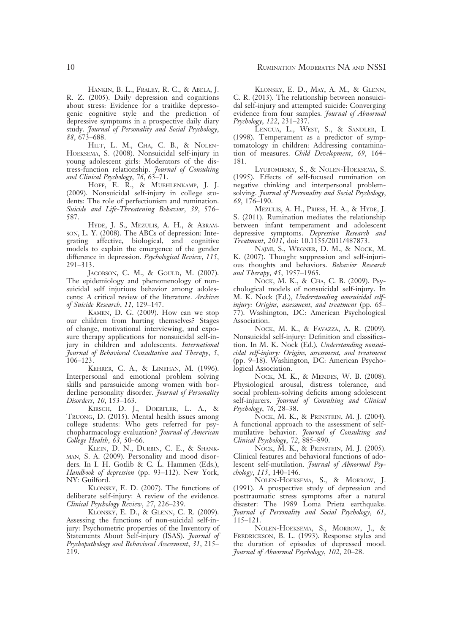HANKIN, B. L., FRALEY, R. C., & ABELA, J. R. Z. (2005). Daily depression and cognitions about stress: Evidence for a traitlike depressogenic cognitive style and the prediction of depressive symptoms in a prospective daily diary study. Journal of Personality and Social Psychology, 88, 673–688.

HILT, L. M., CHA, C. B., & NOLEN-HOEKSEMA, S. (2008). Nonsuicidal self-injury in young adolescent girls: Moderators of the distress-function relationship. Journal of Consulting and Clinical Psychology, 76, 63–71.

HOFF, E. R., & MUEHLENKAMP, J. J. (2009). Nonsuicidal self-injury in college students: The role of perfectionism and rumination. Suicide and Life-Threatening Behavior, 39, 576– 587.

HYDE, J. S., MEZULIS, A. H., & ABRAMson, L. Y. (2008). The ABCs of depression: Integrating affective, biological, and cognitive models to explain the emergence of the gender difference in depression. Psychological Review, 115, 291–313.

JACOBSON, C. M., & GOULD, M. (2007). The epidemiology and phenomenology of nonsuicidal self injurious behavior among adolescents: A critical review of the literature. Archives of Suicide Research, 11, 129–147.

KAMEN, D. G. (2009). How can we stop our children from hurting themselves? Stages of change, motivational interviewing, and exposure therapy applications for nonsuicidal self-injury in children and adolescents. International Journal of Behavioral Consultation and Therapy, 5, 106–123.

KEHRER, C. A., & LINEHAN, M. (1996). Interpersonal and emotional problem solving skills and parasuicide among women with borderline personality disorder. Journal of Personality Disorders, 10, 153–163.

KIRSCH, D. J., DOERFLER, L. A., & TRUONG, D. (2015). Mental health issues among college students: Who gets referred for psychopharmacology evaluation? Journal of American College Health, 63, 50–66.

KLEIN, D. N., DURBIN, C. E., & SHANK-MAN, S. A. (2009). Personality and mood disorders. In I. H. Gotlib & C. L. Hammen (Eds.), Handbook of depression (pp. 93–112). New York, NY: Guilford.

KLONSKY, E. D. (2007). The functions of deliberate self-injury: A review of the evidence. Clinical Psychology Review, 27, 226–239.

KLONSKY, E. D., & GLENN, C. R. (2009). Assessing the functions of non-suicidal self-injury: Psychometric properties of the Inventory of Statements About Self-injury (ISAS). Journal of Psychopathology and Behavioral Assessment, 31, 215– 219.

KLONSKY, E. D., MAY, A. M., & GLENN, C. R. (2013). The relationship between nonsuicidal self-injury and attempted suicide: Converging evidence from four samples. Journal of Abnormal Psychology, 122, 231–237.

LENGUA, L., WEST, S., & SANDLER, I. (1998). Temperament as a predictor of symptomatology in children: Addressing contamination of measures. Child Development, 69, 164– 181.

LYUBOMIRSKY, S., & NOLEN-HOEKSEMA, S. (1995). Effects of self-focused rumination on negative thinking and interpersonal problemsolving. Journal of Personality and Social Psychology, 69, 176–190.

MEZULIS, A. H., PRIESS, H. A., & HYDE, J. S. (2011). Rumination mediates the relationship between infant temperament and adolescent depressive symptoms. Depression Research and Treatment, 2011, doi: [10.1155/2011/487873](info:doi/10.1155/2011/487873).

NAJMI, S., WEGNER, D. M., & NOCK, M. K. (2007). Thought suppression and self-injurious thoughts and behaviors. Behavior Research and Therapy, 45, 1957–1965.

NOCK, M. K., & CHA, C. B. (2009). Psychological models of nonsuicidal self-injury. In M. K. Nock (Ed.), Understanding nonsuicidal selfinjury: Origins, assessment, and treatment (pp. 65– 77). Washington, DC: American Psychological Association.

NOCK, M. K., & FAVAZZA, A. R. (2009). Nonsuicidal self-injury: Definition and classification. In M. K. Nock (Ed.), Understanding nonsuicidal self-injury: Origins, assessment, and treatment (pp. 9–18). Washington, DC: American Psychological Association.

NOCK, M. K., & MENDES, W. B. (2008). Physiological arousal, distress tolerance, and social problem-solving deficits among adolescent self-injurers. Journal of Consulting and Clinical Psychology, 76, 28–38.

NOCK, M. K., & PRINSTEIN, M. J. (2004). A functional approach to the assessment of selfmutilative behavior. Journal of Consulting and Clinical Psychology, 72, 885–890.

NOCK, M. K., & PRINSTEIN, M. J. (2005). Clinical features and behavioral functions of adolescent self-mutilation. Journal of Abnormal Psychology, 115, 140–146.

NOLEN-HOEKSEMA, S., & MORROW, J. (1991). A prospective study of depression and posttraumatic stress symptoms after a natural disaster: The 1989 Loma Prieta earthquake. Journal of Personality and Social Psychology, 61, 115–121.

NOLEN-HOEKSEMA, S., MORROW, J., & FREDRICKSON, B. L. (1993). Response styles and the duration of episodes of depressed mood. Journal of Abnormal Psychology, 102, 20–28.